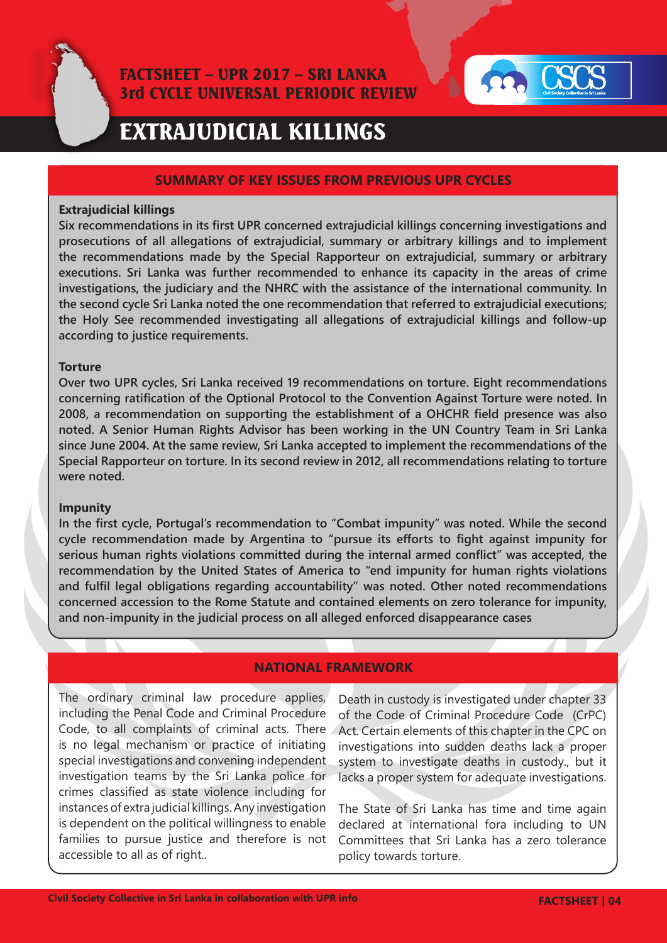

# FACTSHEET – UPR 2017 – SRI LANKA 3rd CYCLE UNIVERSAL PERIODIC REVIEW



# EXTRAJUDICIAL KILLINGS

#### **SUMMARY OF KEY ISSUES FROM PREVIOUS UPR CYCLES**

#### **Extrajudicial killings**

**Six recommendations in its first UPR concerned extrajudicial killings concerning investigations and prosecutions of all allegations of extrajudicial, summary or arbitrary killings and to implement the recommendations made by the Special Rapporteur on extrajudicial, summary or arbitrary executions. Sri Lanka was further recommended to enhance its capacity in the areas of crime investigations, the judiciary and the NHRC with the assistance of the international community. In the second cycle Sri Lanka noted the one recommendation that referred to extrajudicial executions; the Holy See recommended investigating all allegations of extrajudicial killings and follow-up according to justice requirements.**

#### **Torture**

**Over two UPR cycles, Sri Lanka received 19 recommendations on torture. Eight recommendations concerning ratification of the Optional Protocol to the Convention Against Torture were noted. In 2008, a recommendation on supporting the establishment of a OHCHR field presence was also noted. A Senior Human Rights Advisor has been working in the UN Country Team in Sri Lanka since June 2004. At the same review, Sri Lanka accepted to implement the recommendations of the Special Rapporteur on torture. In its second review in 2012, all recommendations relating to torture were noted.**

#### **Impunity**

**In the first cycle, Portugal's recommendation to "Combat impunity" was noted. While the second cycle recommendation made by Argentina to "pursue its efforts to fight against impunity for serious human rights violations committed during the internal armed conflict" was accepted, the recommendation by the United States of America to "end impunity for human rights violations and fulfil legal obligations regarding accountability" was noted. Other noted recommendations concerned accession to the Rome Statute and contained elements on zero tolerance for impunity, and non-impunity in the judicial process on all alleged enforced disappearance cases**

## **NATIONAL FRAMEWORK**

The ordinary criminal law procedure applies, including the Penal Code and Criminal Procedure Code, to all complaints of criminal acts. There is no legal mechanism or practice of initiating special investigations and convening independent investigation teams by the Sri Lanka police for crimes classified as state violence including for instances of extra judicial killings. Any investigation is dependent on the political willingness to enable families to pursue justice and therefore is not accessible to all as of right..

Death in custody is investigated under chapter 33 of the Code of Criminal Procedure Code (CrPC) Act. Certain elements of this chapter in the CPC on investigations into sudden deaths lack a proper system to investigate deaths in custody., but it lacks a proper system for adequate investigations.

The State of Sri Lanka has time and time again declared at international fora including to UN Committees that Sri Lanka has a zero tolerance policy towards torture.